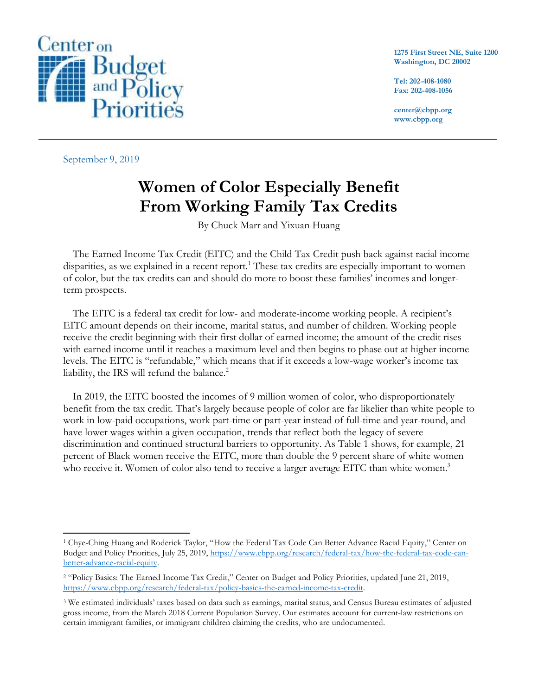

**1275 First Street NE, Suite 1200 Washington, DC 20002**

**Tel: 202-408-1080 Fax: 202-408-1056**

**center@cbpp.org www.cbpp.org**

September 9, 2019

 $\overline{\phantom{a}}$ 

# **Women of Color Especially Benefit From Working Family Tax Credits**

By Chuck Marr and Yixuan Huang

The Earned Income Tax Credit (EITC) and the Child Tax Credit push back against racial income disparities, as we explained in a recent report. <sup>1</sup> These tax credits are especially important to women of color, but the tax credits can and should do more to boost these families' incomes and longerterm prospects.

The EITC is a federal tax credit for low- and moderate-income working people. A recipient's EITC amount depends on their income, marital status, and number of children. Working people receive the credit beginning with their first dollar of earned income; the amount of the credit rises with earned income until it reaches a maximum level and then begins to phase out at higher income levels. The EITC is "refundable," which means that if it exceeds a low-wage worker's income tax liability, the IRS will refund the balance.<sup>2</sup>

In 2019, the EITC boosted the incomes of 9 million women of color, who disproportionately benefit from the tax credit. That's largely because people of color are far likelier than white people to work in low-paid occupations, work part-time or part-year instead of full-time and year-round, and have lower wages within a given occupation, trends that reflect both the legacy of severe discrimination and continued structural barriers to opportunity. As Table 1 shows, for example, 21 percent of Black women receive the EITC, more than double the 9 percent share of white women who receive it. Women of color also tend to receive a larger average EITC than white women.<sup>3</sup>

<sup>1</sup> Chye-Ching Huang and Roderick Taylor, "How the Federal Tax Code Can Better Advance Racial Equity," Center on Budget and Policy Priorities, July 25, 2019, [https://www.cbpp.org/research/federal-tax/how-the-federal-tax-code-can](https://www.cbpp.org/research/federal-tax/how-the-federal-tax-code-can-better-advance-racial-equity)[better-advance-racial-equity.](https://www.cbpp.org/research/federal-tax/how-the-federal-tax-code-can-better-advance-racial-equity)

<sup>2</sup> "Policy Basics: The Earned Income Tax Credit," Center on Budget and Policy Priorities, updated June 21, 2019, [https://www.cbpp.org/research/federal-tax/policy-basics-the-earned-income-tax-credit.](https://www.cbpp.org/research/federal-tax/policy-basics-the-earned-income-tax-credit)

<sup>3</sup> We estimated individuals' taxes based on data such as earnings, marital status, and Census Bureau estimates of adjusted gross income, from the March 2018 Current Population Survey. Our estimates account for current-law restrictions on certain immigrant families, or immigrant children claiming the credits, who are undocumented.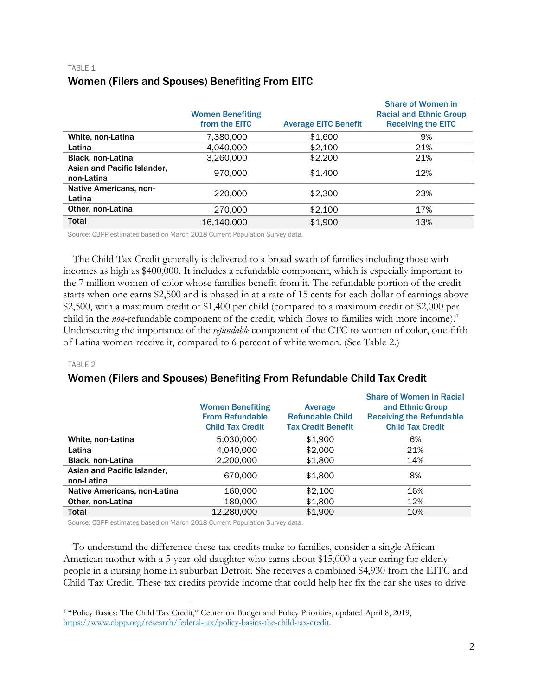#### Women Benefiting from the EITC Average EITC Benefit Share of Women in Racial and Ethnic Group Receiving the EITC White, non-Latina  $7.380,000$  \$1,600 9% **Latina** 21% **4,040,000** \$2,100 **21%** Black, non-Latina **8.260,000** \$2,200 **21%** Asian and Pacific Islander, Asian and Tachic Islander,  $970,000$  \$1,400  $12\%$ Native Americans, non-Native Americans, non- $220,000$   $$2,300$   $$23\%$ **Other, non-Latina** 270,000 \$2,100 17% **Total 16,140,000 \$1,900 13%**

## TABLE 1 Women (Filers and Spouses) Benefiting From EITC

Source: CBPP estimates based on March 2018 Current Population Survey data.

The Child Tax Credit generally is delivered to a broad swath of families including those with incomes as high as \$400,000. It includes a refundable component, which is especially important to the 7 million women of color whose families benefit from it. The refundable portion of the credit starts when one earns \$2,500 and is phased in at a rate of 15 cents for each dollar of earnings above \$2,500, with a maximum credit of \$1,400 per child (compared to a maximum credit of \$2,000 per child in the *non*-refundable component of the credit, which flows to families with more income).<sup>4</sup> Underscoring the importance of the *refundable* component of the CTC to women of color, one-fifth of Latina women receive it, compared to 6 percent of white women. (See Table 2.)

#### TABLE 2

 $\overline{\phantom{a}}$ 

# Women (Filers and Spouses) Benefiting From Refundable Child Tax Credit

|                                           | <b>Women Benefiting</b><br><b>From Refundable</b><br><b>Child Tax Credit</b> | Average<br><b>Refundable Child</b><br><b>Tax Credit Benefit</b> | <b>Share of Women in Racial</b><br>and Ethnic Group<br><b>Receiving the Refundable</b><br><b>Child Tax Credit</b> |
|-------------------------------------------|------------------------------------------------------------------------------|-----------------------------------------------------------------|-------------------------------------------------------------------------------------------------------------------|
| White, non-Latina                         | 5,030,000                                                                    | \$1,900                                                         | 6%                                                                                                                |
| Latina                                    | 4,040,000                                                                    | \$2,000                                                         | 21%                                                                                                               |
| <b>Black, non-Latina</b>                  | 2,200,000                                                                    | \$1,800                                                         | 14%                                                                                                               |
| Asian and Pacific Islander,<br>non-Latina | 670,000                                                                      | \$1,800                                                         | 8%                                                                                                                |
| Native Americans, non-Latina              | 160,000                                                                      | \$2.100                                                         | 16%                                                                                                               |
| Other, non-Latina                         | 180,000                                                                      | \$1,800                                                         | 12%                                                                                                               |
| <b>Total</b>                              | 12,280,000                                                                   | \$1.900                                                         | 10%                                                                                                               |

Source: CBPP estimates based on March 2018 Current Population Survey data.

To understand the difference these tax credits make to families, consider a single African American mother with a 5-year-old daughter who earns about \$15,000 a year caring for elderly people in a nursing home in suburban Detroit. She receives a combined \$4,930 from the EITC and Child Tax Credit. These tax credits provide income that could help her fix the car she uses to drive

<sup>4</sup> "Policy Basics: The Child Tax Credit," Center on Budget and Policy Priorities, updated April 8, 2019, [https://www.cbpp.org/research/federal-tax/policy-basics-the-child-tax-credit.](https://www.cbpp.org/research/federal-tax/policy-basics-the-child-tax-credit)